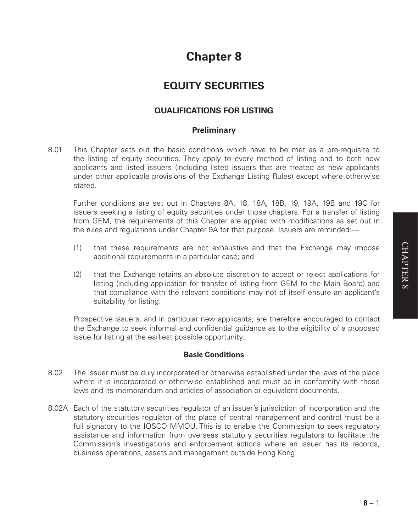# **Chapter 8**

# **EQUITY SECURITIES**

# **QUALIFICATIONS FOR LISTING**

## **Preliminary**

8.01 This Chapter sets out the basic conditions which have to be met as a pre-requisite to the listing of equity securities. They apply to every method of listing and to both new applicants and listed issuers (including listed issuers that are treated as new applicants under other applicable provisions of the Exchange Listing Rules) except where otherwise stated.

Further conditions are set out in Chapters 8A, 18, 18A, 18B, 19, 19A, 19B and 19C for issuers seeking a listing of equity securities under those chapters. For a transfer of listing from GEM, the requirements of this Chapter are applied with modifications as set out in the rules and regulations under Chapter 9A for that purpose. Issuers are reminded:—

- (1) that these requirements are not exhaustive and that the Exchange may impose additional requirements in a particular case; and
- (2) that the Exchange retains an absolute discretion to accept or reject applications for listing (including application for transfer of listing from GEM to the Main Board) and that compliance with the relevant conditions may not of itself ensure an applicant's suitability for listing.

Prospective issuers, and in particular new applicants, are therefore encouraged to contact the Exchange to seek informal and confidential guidance as to the eligibility of a proposed issue for listing at the earliest possible opportunity.

#### **Basic Conditions**

- 8.02 The issuer must be duly incorporated or otherwise established under the laws of the place where it is incorporated or otherwise established and must be in conformity with those laws and its memorandum and articles of association or equivalent documents.
- 8.02A Each of the statutory securities regulator of an issuer's jurisdiction of incorporation and the statutory securities regulator of the place of central management and control must be a full signatory to the IOSCO MMOU. This is to enable the Commission to seek regulatory assistance and information from overseas statutory securities regulators to facilitate the Commission's investigations and enforcement actions where an issuer has its records, business operations, assets and management outside Hong Kong.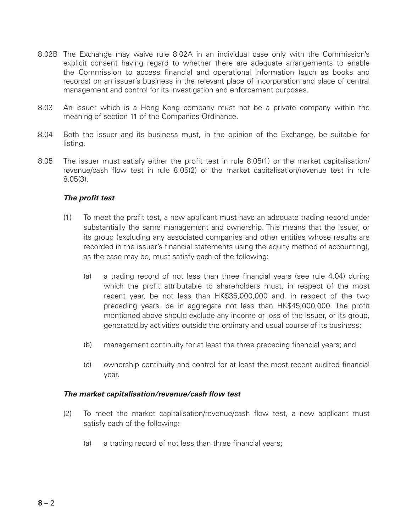- 8.02B The Exchange may waive rule 8.02A in an individual case only with the Commission's explicit consent having regard to whether there are adequate arrangements to enable the Commission to access financial and operational information (such as books and records) on an issuer's business in the relevant place of incorporation and place of central management and control for its investigation and enforcement purposes.
- 8.03 An issuer which is a Hong Kong company must not be a private company within the meaning of section 11 of the Companies Ordinance.
- 8.04 Both the issuer and its business must, in the opinion of the Exchange, be suitable for listing.
- 8.05 The issuer must satisfy either the profit test in rule 8.05(1) or the market capitalisation/ revenue/cash flow test in rule 8.05(2) or the market capitalisation/revenue test in rule 8.05(3).

#### *The profit test*

- (1) To meet the profit test, a new applicant must have an adequate trading record under substantially the same management and ownership. This means that the issuer, or its group (excluding any associated companies and other entities whose results are recorded in the issuer's financial statements using the equity method of accounting), as the case may be, must satisfy each of the following:
	- (a) a trading record of not less than three financial years (see rule 4.04) during which the profit attributable to shareholders must, in respect of the most recent year, be not less than HK\$35,000,000 and, in respect of the two preceding years, be in aggregate not less than HK\$45,000,000. The profit mentioned above should exclude any income or loss of the issuer, or its group, generated by activities outside the ordinary and usual course of its business;
	- (b) management continuity for at least the three preceding financial years; and
	- (c) ownership continuity and control for at least the most recent audited financial year.

#### *The market capitalisation/revenue/cash flow test*

- (2) To meet the market capitalisation/revenue/cash flow test, a new applicant must satisfy each of the following:
	- (a) a trading record of not less than three financial years;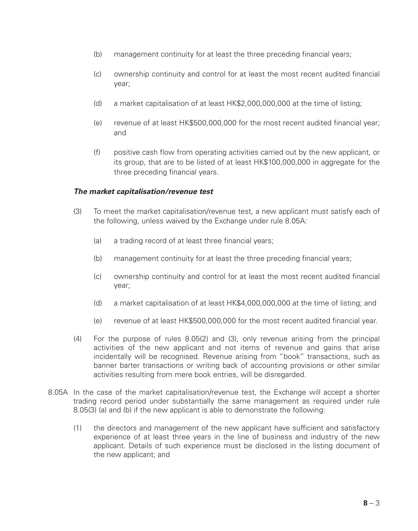- (b) management continuity for at least the three preceding financial years;
- (c) ownership continuity and control for at least the most recent audited financial year;
- (d) a market capitalisation of at least HK\$2,000,000,000 at the time of listing;
- (e) revenue of at least HK\$500,000,000 for the most recent audited financial year; and
- (f) positive cash flow from operating activities carried out by the new applicant, or its group, that are to be listed of at least HK\$100,000,000 in aggregate for the three preceding financial years.

#### *The market capitalisation/revenue test*

- (3) To meet the market capitalisation/revenue test, a new applicant must satisfy each of the following, unless waived by the Exchange under rule 8.05A:
	- (a) a trading record of at least three financial years;
	- (b) management continuity for at least the three preceding financial years;
	- (c) ownership continuity and control for at least the most recent audited financial year;
	- (d) a market capitalisation of at least HK\$4,000,000,000 at the time of listing; and
	- (e) revenue of at least HK\$500,000,000 for the most recent audited financial year.
- (4) For the purpose of rules 8.05(2) and (3), only revenue arising from the principal activities of the new applicant and not items of revenue and gains that arise incidentally will be recognised. Revenue arising from "book" transactions, such as banner barter transactions or writing back of accounting provisions or other similar activities resulting from mere book entries, will be disregarded.
- 8.05A In the case of the market capitalisation/revenue test, the Exchange will accept a shorter trading record period under substantially the same management as required under rule 8.05(3) (a) and (b) if the new applicant is able to demonstrate the following:
	- (1) the directors and management of the new applicant have sufficient and satisfactory experience of at least three years in the line of business and industry of the new applicant. Details of such experience must be disclosed in the listing document of the new applicant; and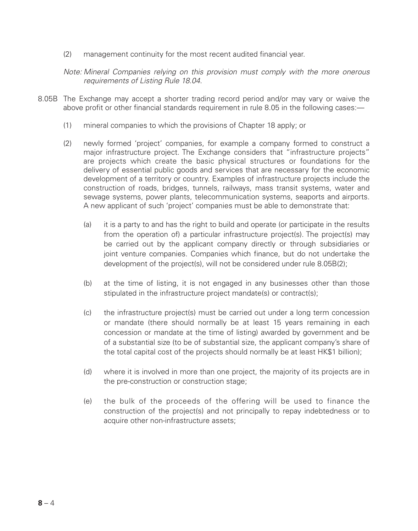(2) management continuity for the most recent audited financial year.

*Note: Mineral Companies relying on this provision must comply with the more onerous requirements of Listing Rule 18.04.*

- 8.05B The Exchange may accept a shorter trading record period and/or may vary or waive the above profit or other financial standards requirement in rule 8.05 in the following cases:—
	- (1) mineral companies to which the provisions of Chapter 18 apply; or
	- (2) newly formed 'project' companies, for example a company formed to construct a major infrastructure project. The Exchange considers that "infrastructure projects" are projects which create the basic physical structures or foundations for the delivery of essential public goods and services that are necessary for the economic development of a territory or country. Examples of infrastructure projects include the construction of roads, bridges, tunnels, railways, mass transit systems, water and sewage systems, power plants, telecommunication systems, seaports and airports. A new applicant of such 'project' companies must be able to demonstrate that:
		- (a) it is a party to and has the right to build and operate (or participate in the results from the operation of) a particular infrastructure project(s). The project(s) may be carried out by the applicant company directly or through subsidiaries or joint venture companies. Companies which finance, but do not undertake the development of the project(s), will not be considered under rule 8.05B(2);
		- (b) at the time of listing, it is not engaged in any businesses other than those stipulated in the infrastructure project mandate(s) or contract(s);
		- (c) the infrastructure project(s) must be carried out under a long term concession or mandate (there should normally be at least 15 years remaining in each concession or mandate at the time of listing) awarded by government and be of a substantial size (to be of substantial size, the applicant company's share of the total capital cost of the projects should normally be at least HK\$1 billion);
		- (d) where it is involved in more than one project, the majority of its projects are in the pre-construction or construction stage;
		- (e) the bulk of the proceeds of the offering will be used to finance the construction of the project(s) and not principally to repay indebtedness or to acquire other non-infrastructure assets;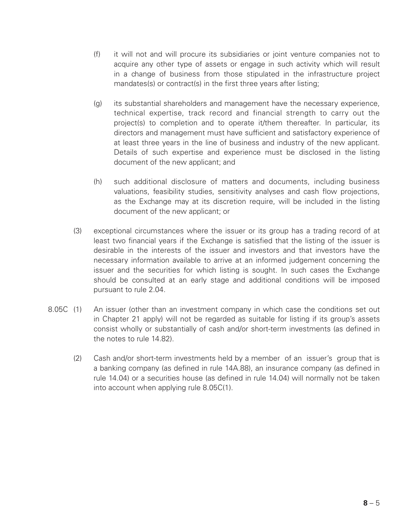- (f) it will not and will procure its subsidiaries or joint venture companies not to acquire any other type of assets or engage in such activity which will result in a change of business from those stipulated in the infrastructure project mandates(s) or contract(s) in the first three years after listing;
- (g) its substantial shareholders and management have the necessary experience, technical expertise, track record and financial strength to carry out the project(s) to completion and to operate it/them thereafter. In particular, its directors and management must have sufficient and satisfactory experience of at least three years in the line of business and industry of the new applicant. Details of such expertise and experience must be disclosed in the listing document of the new applicant; and
- (h) such additional disclosure of matters and documents, including business valuations, feasibility studies, sensitivity analyses and cash flow projections, as the Exchange may at its discretion require, will be included in the listing document of the new applicant; or
- (3) exceptional circumstances where the issuer or its group has a trading record of at least two financial years if the Exchange is satisfied that the listing of the issuer is desirable in the interests of the issuer and investors and that investors have the necessary information available to arrive at an informed judgement concerning the issuer and the securities for which listing is sought. In such cases the Exchange should be consulted at an early stage and additional conditions will be imposed pursuant to rule 2.04.
- 8.05C (1) An issuer (other than an investment company in which case the conditions set out in Chapter 21 apply) will not be regarded as suitable for listing if its group's assets consist wholly or substantially of cash and/or short-term investments (as defined in the notes to rule 14.82).
	- (2) Cash and/or short-term investments held by a member of an issuer's group that is a banking company (as defined in rule 14A.88), an insurance company (as defined in rule 14.04) or a securities house (as defined in rule 14.04) will normally not be taken into account when applying rule 8.05C(1).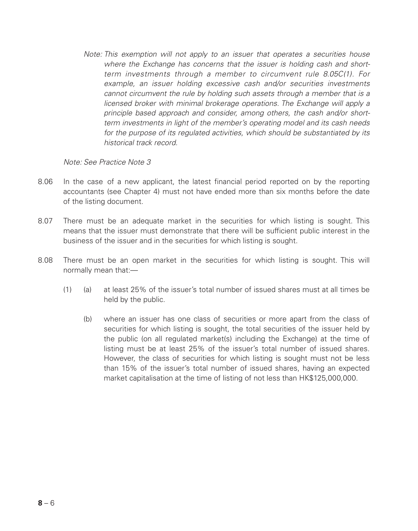*Note: This exemption will not apply to an issuer that operates a securities house where the Exchange has concerns that the issuer is holding cash and shortterm investments through a member to circumvent rule 8.05C(1). For example, an issuer holding excessive cash and/or securities investments cannot circumvent the rule by holding such assets through a member that is a licensed broker with minimal brokerage operations. The Exchange will apply a principle based approach and consider, among others, the cash and/or shortterm investments in light of the member's operating model and its cash needs for the purpose of its regulated activities, which should be substantiated by its historical track record.*

*Note: See Practice Note 3*

- 8.06 In the case of a new applicant, the latest financial period reported on by the reporting accountants (see Chapter 4) must not have ended more than six months before the date of the listing document.
- 8.07 There must be an adequate market in the securities for which listing is sought. This means that the issuer must demonstrate that there will be sufficient public interest in the business of the issuer and in the securities for which listing is sought.
- 8.08 There must be an open market in the securities for which listing is sought. This will normally mean that:—
	- (1) (a) at least 25% of the issuer's total number of issued shares must at all times be held by the public.
		- (b) where an issuer has one class of securities or more apart from the class of securities for which listing is sought, the total securities of the issuer held by the public (on all regulated market(s) including the Exchange) at the time of listing must be at least 25% of the issuer's total number of issued shares. However, the class of securities for which listing is sought must not be less than 15% of the issuer's total number of issued shares, having an expected market capitalisation at the time of listing of not less than HK\$125,000,000.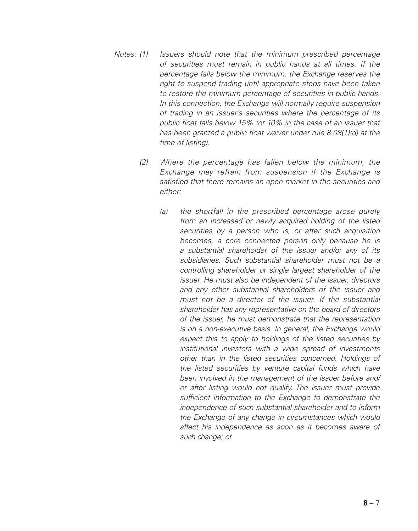- *Notes: (1) Issuers should note that the minimum prescribed percentage of securities must remain in public hands at all times. If the percentage falls below the minimum, the Exchange reserves the right to suspend trading until appropriate steps have been taken to restore the minimum percentage of securities in public hands. In this connection, the Exchange will normally require suspension of trading in an issuer's securities where the percentage of its public float falls below 15% (or 10% in the case of an issuer that has been granted a public float waiver under rule 8.08(1)(d) at the time of listing).*
	- *(2) Where the percentage has fallen below the minimum, the Exchange may refrain from suspension if the Exchange is satisfied that there remains an open market in the securities and either:*
		- *(a) the shortfall in the prescribed percentage arose purely from an increased or newly acquired holding of the listed securities by a person who is, or after such acquisition becomes, a core connected person only because he is a substantial shareholder of the issuer and/or any of its subsidiaries. Such substantial shareholder must not be a controlling shareholder or single largest shareholder of the issuer.* He must also be independent of the issuer, directors *and any other substantial shareholders of the issuer and must not be a director of the issuer. If the substantial shareholder has any representative on the board of directors of the issuer, he must demonstrate that the representation is on a non-executive basis. In general, the Exchange would expect this to apply to holdings of the listed securities by institutional investors with a wide spread of investments other than in the listed securities concerned. Holdings of the listed securities by venture capital funds which have been involved in the management of the issuer before and/ or after listing would not qualify. The issuer must provide sufficient information to the Exchange to demonstrate the independence of such substantial shareholder and to inform the Exchange of any change in circumstances which would affect his independence as soon as it becomes aware of such change; or*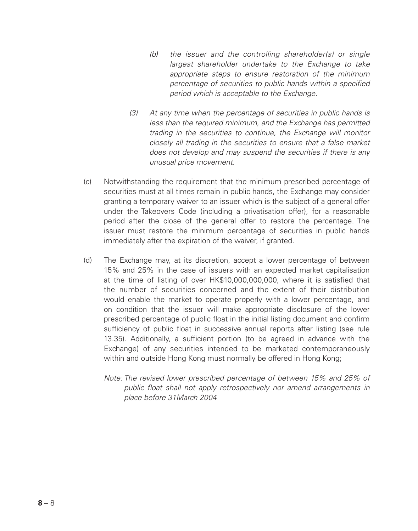- *(b) the issuer and the controlling shareholder(s) or single largest shareholder undertake to the Exchange to take appropriate steps to ensure restoration of the minimum percentage of securities to public hands within a specified period which is acceptable to the Exchange.*
- *(3) At any time when the percentage of securities in public hands is less than the required minimum, and the Exchange has permitted trading in the securities to continue, the Exchange will monitor closely all trading in the securities to ensure that a false market does not develop and may suspend the securities if there is any unusual price movement.*
- (c) Notwithstanding the requirement that the minimum prescribed percentage of securities must at all times remain in public hands, the Exchange may consider granting a temporary waiver to an issuer which is the subject of a general offer under the Takeovers Code (including a privatisation offer), for a reasonable period after the close of the general offer to restore the percentage. The issuer must restore the minimum percentage of securities in public hands immediately after the expiration of the waiver, if granted.
- (d) The Exchange may, at its discretion, accept a lower percentage of between 15% and 25% in the case of issuers with an expected market capitalisation at the time of listing of over HK\$10,000,000,000, where it is satisfied that the number of securities concerned and the extent of their distribution would enable the market to operate properly with a lower percentage, and on condition that the issuer will make appropriate disclosure of the lower prescribed percentage of public float in the initial listing document and confirm sufficiency of public float in successive annual reports after listing (see rule 13.35). Additionally, a sufficient portion (to be agreed in advance with the Exchange) of any securities intended to be marketed contemporaneously within and outside Hong Kong must normally be offered in Hong Kong;
	- *Note: The revised lower prescribed percentage of between 15% and 25% of public float shall not apply retrospectively nor amend arrangements in place before 31March 2004*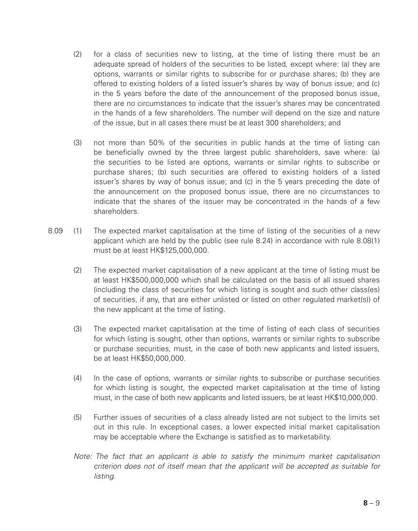- (2) for a class of securities new to listing, at the time of listing there must be an adequate spread of holders of the securities to be listed, except where: (a) they are options, warrants or similar rights to subscribe for or purchase shares; (b) they are offered to existing holders of a listed issuer's shares by way of bonus issue; and (c) in the 5 years before the date of the announcement of the proposed bonus issue, there are no circumstances to indicate that the issuer's shares may be concentrated in the hands of a few shareholders. The number will depend on the size and nature of the issue, but in all cases there must be at least 300 shareholders; and
- (3) not more than 50% of the securities in public hands at the time of listing can be beneficially owned by the three largest public shareholders, save where: (a) the securities to be listed are options, warrants or similar rights to subscribe or purchase shares; (b) such securities are offered to existing holders of a listed issuer's shares by way of bonus issue; and (c) in the 5 years preceding the date of the announcement on the proposed bonus issue, there are no circumstances to indicate that the shares of the issuer may be concentrated in the hands of a few shareholders.
- 8.09 (1) The expected market capitalisation at the time of listing of the securities of a new applicant which are held by the public (see rule 8.24) in accordance with rule 8.08(1) must be at least HK\$125,000,000.
	- (2) The expected market capitalisation of a new applicant at the time of listing must be at least HK\$500,000,000 which shall be calculated on the basis of all issued shares (including the class of securities for which listing is sought and such other class(es) of securities, if any, that are either unlisted or listed on other regulated market(s)) of the new applicant at the time of listing.
	- (3) The expected market capitalisation at the time of listing of each class of securities for which listing is sought, other than options, warrants or similar rights to subscribe or purchase securities, must, in the case of both new applicants and listed issuers, be at least HK\$50,000,000.
	- (4) In the case of options, warrants or similar rights to subscribe or purchase securities for which listing is sought, the expected market capitalisation at the time of listing must, in the case of both new applicants and listed issuers, be at least HK\$10,000,000.
	- (5) Further issues of securities of a class already listed are not subject to the limits set out in this rule. In exceptional cases, a lower expected initial market capitalisation may be acceptable where the Exchange is satisfied as to marketability.
	- *Note: The fact that an applicant is able to satisfy the minimum market capitalisation criterion does not of itself mean that the applicant will be accepted as suitable for listing.*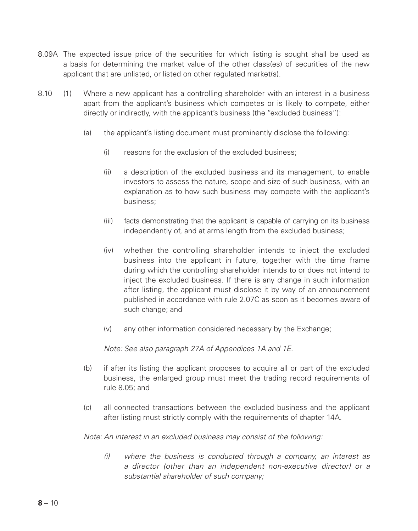- 8.09A The expected issue price of the securities for which listing is sought shall be used as a basis for determining the market value of the other class(es) of securities of the new applicant that are unlisted, or listed on other regulated market(s).
- 8.10 (1) Where a new applicant has a controlling shareholder with an interest in a business apart from the applicant's business which competes or is likely to compete, either directly or indirectly, with the applicant's business (the "excluded business"):
	- (a) the applicant's listing document must prominently disclose the following:
		- (i) reasons for the exclusion of the excluded business;
		- (ii) a description of the excluded business and its management, to enable investors to assess the nature, scope and size of such business, with an explanation as to how such business may compete with the applicant's business;
		- (iii) facts demonstrating that the applicant is capable of carrying on its business independently of, and at arms length from the excluded business;
		- (iv) whether the controlling shareholder intends to inject the excluded business into the applicant in future, together with the time frame during which the controlling shareholder intends to or does not intend to inject the excluded business. If there is any change in such information after listing, the applicant must disclose it by way of an announcement published in accordance with rule 2.07C as soon as it becomes aware of such change; and
		- (v) any other information considered necessary by the Exchange;

*Note: See also paragraph 27A of Appendices 1A and 1E.*

- (b) if after its listing the applicant proposes to acquire all or part of the excluded business, the enlarged group must meet the trading record requirements of rule 8.05; and
- (c) all connected transactions between the excluded business and the applicant after listing must strictly comply with the requirements of chapter 14A.

*Note: An interest in an excluded business may consist of the following:*

*(i) where the business is conducted through a company, an interest as a director (other than an independent non-executive director) or a substantial shareholder of such company;*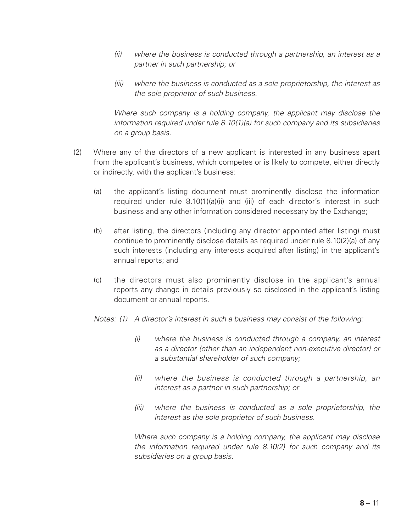- *(ii) where the business is conducted through a partnership, an interest as a partner in such partnership; or*
- *(iii) where the business is conducted as a sole proprietorship, the interest as the sole proprietor of such business.*

*Where such company is a holding company, the applicant may disclose the information required under rule 8.10(1)(a) for such company and its subsidiaries on a group basis.*

- (2) Where any of the directors of a new applicant is interested in any business apart from the applicant's business, which competes or is likely to compete, either directly or indirectly, with the applicant's business:
	- (a) the applicant's listing document must prominently disclose the information required under rule 8.10(1)(a)(ii) and (iii) of each director's interest in such business and any other information considered necessary by the Exchange;
	- (b) after listing, the directors (including any director appointed after listing) must continue to prominently disclose details as required under rule 8.10(2)(a) of any such interests (including any interests acquired after listing) in the applicant's annual reports; and
	- (c) the directors must also prominently disclose in the applicant's annual reports any change in details previously so disclosed in the applicant's listing document or annual reports.
	- *Notes: (1) A director's interest in such a business may consist of the following:*
		- *(i) where the business is conducted through a company, an interest as a director (other than an independent non-executive director) or a substantial shareholder of such company;*
		- *(ii) where the business is conducted through a partnership, an interest as a partner in such partnership; or*
		- *(iii) where the business is conducted as a sole proprietorship, the interest as the sole proprietor of such business.*

*Where such company is a holding company, the applicant may disclose the information required under rule 8.10(2) for such company and its subsidiaries on a group basis.*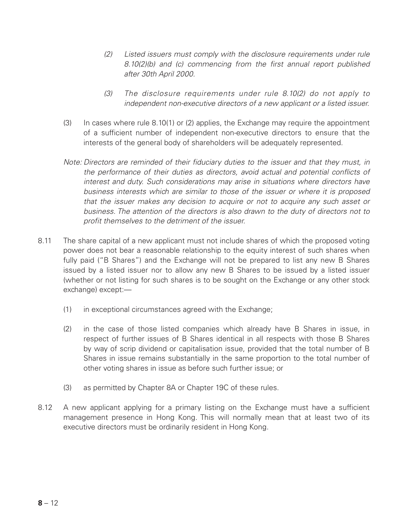- *(2) Listed issuers must comply with the disclosure requirements under rule 8.10(2)(b) and (c) commencing from the first annual report published after 30th April 2000.*
- *(3) The disclosure requirements under rule 8.10(2) do not apply to independent non-executive directors of a new applicant or a listed issuer.*
- (3) In cases where rule 8.10(1) or (2) applies, the Exchange may require the appointment of a sufficient number of independent non-executive directors to ensure that the interests of the general body of shareholders will be adequately represented.
- *Note: Directors are reminded of their fiduciary duties to the issuer and that they must, in the performance of their duties as directors, avoid actual and potential conflicts of interest and duty. Such considerations may arise in situations where directors have business interests which are similar to those of the issuer or where it is proposed that the issuer makes any decision to acquire or not to acquire any such asset or business. The attention of the directors is also drawn to the duty of directors not to profit themselves to the detriment of the issuer.*
- 8.11 The share capital of a new applicant must not include shares of which the proposed voting power does not bear a reasonable relationship to the equity interest of such shares when fully paid ("B Shares") and the Exchange will not be prepared to list any new B Shares issued by a listed issuer nor to allow any new B Shares to be issued by a listed issuer (whether or not listing for such shares is to be sought on the Exchange or any other stock exchange) except:—
	- (1) in exceptional circumstances agreed with the Exchange;
	- (2) in the case of those listed companies which already have B Shares in issue, in respect of further issues of B Shares identical in all respects with those B Shares by way of scrip dividend or capitalisation issue, provided that the total number of B Shares in issue remains substantially in the same proportion to the total number of other voting shares in issue as before such further issue; or
	- (3) as permitted by Chapter 8A or Chapter 19C of these rules.
- 8.12 A new applicant applying for a primary listing on the Exchange must have a sufficient management presence in Hong Kong. This will normally mean that at least two of its executive directors must be ordinarily resident in Hong Kong.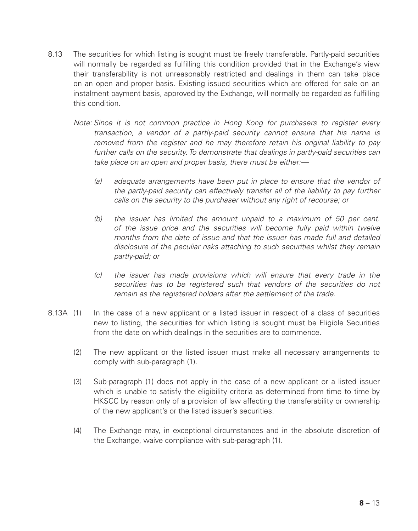- 8.13 The securities for which listing is sought must be freely transferable. Partly-paid securities will normally be regarded as fulfilling this condition provided that in the Exchange's view their transferability is not unreasonably restricted and dealings in them can take place on an open and proper basis. Existing issued securities which are offered for sale on an instalment payment basis, approved by the Exchange, will normally be regarded as fulfilling this condition.
	- *Note: Since it is not common practice in Hong Kong for purchasers to register every transaction, a vendor of a partly-paid security cannot ensure that his name is removed from the register and he may therefore retain his original liability to pay further calls on the security. To demonstrate that dealings in partly-paid securities can take place on an open and proper basis, there must be either:—*
		- *(a) adequate arrangements have been put in place to ensure that the vendor of the partly-paid security can effectively transfer all of the liability to pay further calls on the security to the purchaser without any right of recourse; or*
		- *(b) the issuer has limited the amount unpaid to a maximum of 50 per cent. of the issue price and the securities will become fully paid within twelve months from the date of issue and that the issuer has made full and detailed disclosure of the peculiar risks attaching to such securities whilst they remain partly-paid; or*
		- *(c) the issuer has made provisions which will ensure that every trade in the securities has to be registered such that vendors of the securities do not remain as the registered holders after the settlement of the trade.*
- 8.13A (1) In the case of a new applicant or a listed issuer in respect of a class of securities new to listing, the securities for which listing is sought must be Eligible Securities from the date on which dealings in the securities are to commence.
	- (2) The new applicant or the listed issuer must make all necessary arrangements to comply with sub-paragraph (1).
	- (3) Sub-paragraph (1) does not apply in the case of a new applicant or a listed issuer which is unable to satisfy the eligibility criteria as determined from time to time by HKSCC by reason only of a provision of law affecting the transferability or ownership of the new applicant's or the listed issuer's securities.
	- (4) The Exchange may, in exceptional circumstances and in the absolute discretion of the Exchange, waive compliance with sub-paragraph (1).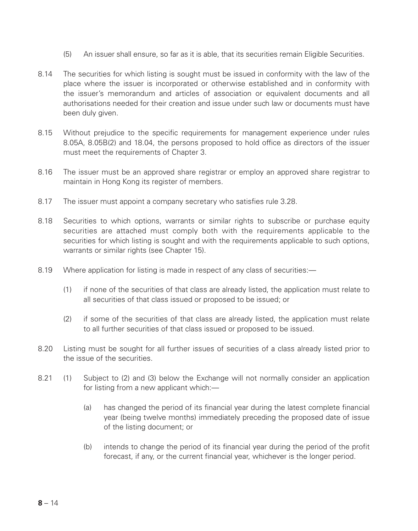- (5) An issuer shall ensure, so far as it is able, that its securities remain Eligible Securities.
- 8.14 The securities for which listing is sought must be issued in conformity with the law of the place where the issuer is incorporated or otherwise established and in conformity with the issuer's memorandum and articles of association or equivalent documents and all authorisations needed for their creation and issue under such law or documents must have been duly given.
- 8.15 Without prejudice to the specific requirements for management experience under rules 8.05A, 8.05B(2) and 18.04, the persons proposed to hold office as directors of the issuer must meet the requirements of Chapter 3.
- 8.16 The issuer must be an approved share registrar or employ an approved share registrar to maintain in Hong Kong its register of members.
- 8.17 The issuer must appoint a company secretary who satisfies rule 3.28.
- 8.18 Securities to which options, warrants or similar rights to subscribe or purchase equity securities are attached must comply both with the requirements applicable to the securities for which listing is sought and with the requirements applicable to such options. warrants or similar rights (see Chapter 15).
- 8.19 Where application for listing is made in respect of any class of securities:—
	- (1) if none of the securities of that class are already listed, the application must relate to all securities of that class issued or proposed to be issued; or
	- (2) if some of the securities of that class are already listed, the application must relate to all further securities of that class issued or proposed to be issued.
- 8.20 Listing must be sought for all further issues of securities of a class already listed prior to the issue of the securities.
- 8.21 (1) Subject to (2) and (3) below the Exchange will not normally consider an application for listing from a new applicant which:—
	- (a) has changed the period of its financial year during the latest complete financial year (being twelve months) immediately preceding the proposed date of issue of the listing document; or
	- (b) intends to change the period of its financial year during the period of the profit forecast, if any, or the current financial year, whichever is the longer period.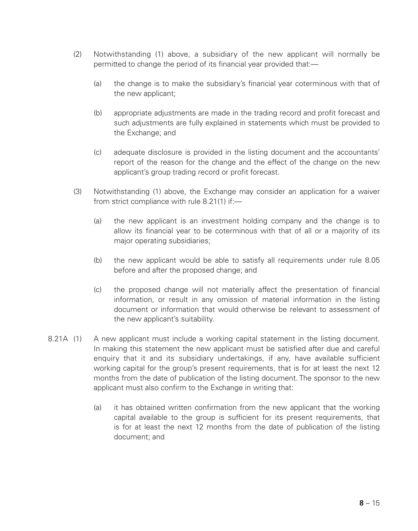- (2) Notwithstanding (1) above, a subsidiary of the new applicant will normally be permitted to change the period of its financial year provided that:—
	- (a) the change is to make the subsidiary's financial year coterminous with that of the new applicant;
	- (b) appropriate adjustments are made in the trading record and profit forecast and such adjustments are fully explained in statements which must be provided to the Exchange; and
	- (c) adequate disclosure is provided in the listing document and the accountants' report of the reason for the change and the effect of the change on the new applicant's group trading record or profit forecast.
- (3) Notwithstanding (1) above, the Exchange may consider an application for a waiver from strict compliance with rule 8.21(1) if:—
	- (a) the new applicant is an investment holding company and the change is to allow its financial year to be coterminous with that of all or a majority of its major operating subsidiaries;
	- (b) the new applicant would be able to satisfy all requirements under rule 8.05 before and after the proposed change; and
	- (c) the proposed change will not materially affect the presentation of financial information, or result in any omission of material information in the listing document or information that would otherwise be relevant to assessment of the new applicant's suitability.
- 8.21A (1) A new applicant must include a working capital statement in the listing document. In making this statement the new applicant must be satisfied after due and careful enquiry that it and its subsidiary undertakings, if any, have available sufficient working capital for the group's present requirements, that is for at least the next 12 months from the date of publication of the listing document. The sponsor to the new applicant must also confirm to the Exchange in writing that:
	- (a) it has obtained written confirmation from the new applicant that the working capital available to the group is sufficient for its present requirements, that is for at least the next 12 months from the date of publication of the listing document; and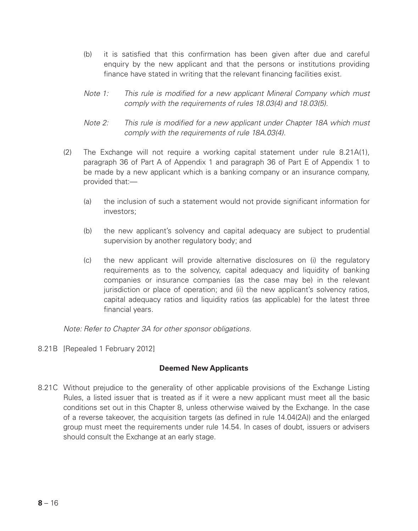- (b) it is satisfied that this confirmation has been given after due and careful enquiry by the new applicant and that the persons or institutions providing finance have stated in writing that the relevant financing facilities exist.
- *Note 1: This rule is modified for a new applicant Mineral Company which must comply with the requirements of rules 18.03(4) and 18.03(5).*
- *Note 2: This rule is modified for a new applicant under Chapter 18A which must comply with the requirements of rule 18A.03(4).*
- (2) The Exchange will not require a working capital statement under rule 8.21A(1), paragraph 36 of Part A of Appendix 1 and paragraph 36 of Part E of Appendix 1 to be made by a new applicant which is a banking company or an insurance company, provided that:—
	- (a) the inclusion of such a statement would not provide significant information for investors;
	- (b) the new applicant's solvency and capital adequacy are subject to prudential supervision by another regulatory body; and
	- (c) the new applicant will provide alternative disclosures on (i) the regulatory requirements as to the solvency, capital adequacy and liquidity of banking companies or insurance companies (as the case may be) in the relevant jurisdiction or place of operation; and (ii) the new applicant's solvency ratios, capital adequacy ratios and liquidity ratios (as applicable) for the latest three financial years.

*Note: Refer to Chapter 3A for other sponsor obligations.*

8.21B [Repealed 1 February 2012]

## **Deemed New Applicants**

8.21C Without prejudice to the generality of other applicable provisions of the Exchange Listing Rules, a listed issuer that is treated as if it were a new applicant must meet all the basic conditions set out in this Chapter 8, unless otherwise waived by the Exchange. In the case of a reverse takeover, the acquisition targets (as defined in rule 14.04(2A)) and the enlarged group must meet the requirements under rule 14.54. In cases of doubt, issuers or advisers should consult the Exchange at an early stage.